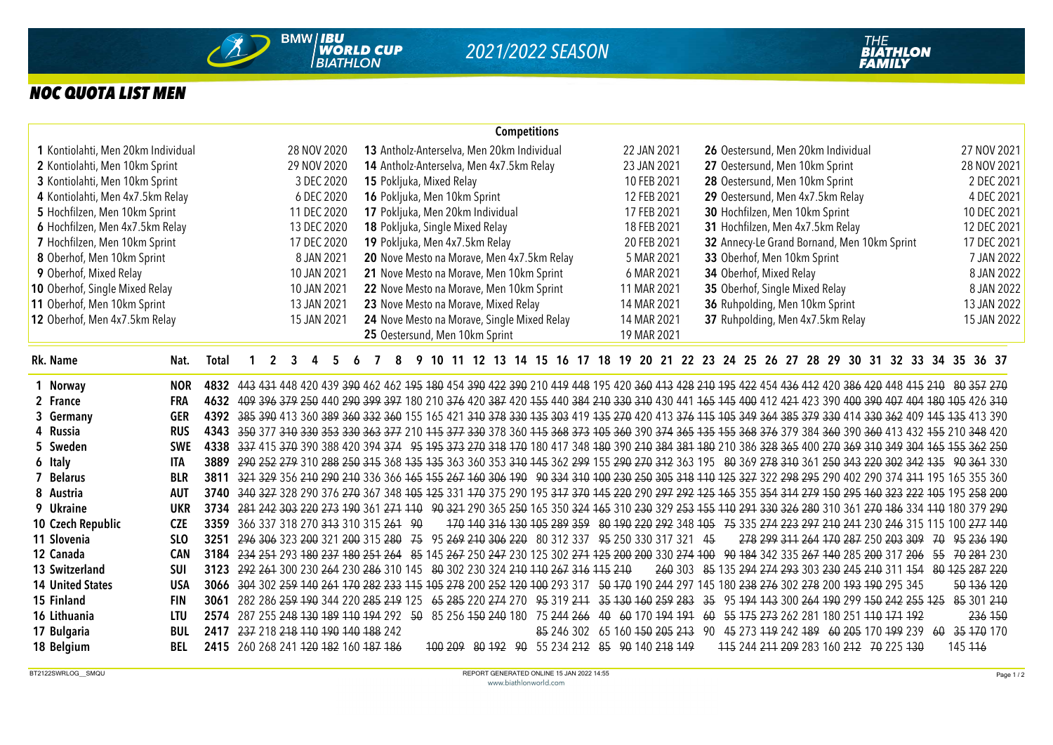

## *NOC QUOTA LIST MEN*

| <b>Competitions</b><br>13 Antholz-Anterselva, Men 20km Individual |              |                                                                                                                                                          |             |                     |  |                                                                                        |  |  |  |                                          |                              |                                             |  |  |  |  |  |  |                                                |             |             |             |             |  |  |                                  |                                |  |  |  |                                  |                                |                                    |                                             |             |                                                                                                                                                     |            |             |         |               |             |
|-------------------------------------------------------------------|--------------|----------------------------------------------------------------------------------------------------------------------------------------------------------|-------------|---------------------|--|----------------------------------------------------------------------------------------|--|--|--|------------------------------------------|------------------------------|---------------------------------------------|--|--|--|--|--|--|------------------------------------------------|-------------|-------------|-------------|-------------|--|--|----------------------------------|--------------------------------|--|--|--|----------------------------------|--------------------------------|------------------------------------|---------------------------------------------|-------------|-----------------------------------------------------------------------------------------------------------------------------------------------------|------------|-------------|---------|---------------|-------------|
| 1 Kontiolahti, Men 20km Individual                                |              |                                                                                                                                                          |             |                     |  | 28 NOV 2020                                                                            |  |  |  |                                          |                              |                                             |  |  |  |  |  |  |                                                |             |             |             | 22 JAN 2021 |  |  |                                  |                                |  |  |  |                                  |                                | 26 Oestersund, Men 20km Individual |                                             |             |                                                                                                                                                     |            |             |         |               | 27 NOV 2021 |
| 2 Kontiolahti, Men 10km Sprint                                    |              | 29 NOV 2020                                                                                                                                              |             |                     |  |                                                                                        |  |  |  | 14 Antholz-Anterselva, Men 4x7.5km Relay |                              |                                             |  |  |  |  |  |  |                                                |             |             |             | 23 JAN 2021 |  |  |                                  |                                |  |  |  |                                  |                                | 27 Oestersund, Men 10km Sprint     |                                             |             |                                                                                                                                                     |            | 28 NOV 2021 |         |               |             |
| 3 Kontiolahti, Men 10km Sprint                                    |              | 3 DEC 2020                                                                                                                                               |             |                     |  |                                                                                        |  |  |  | 15 Pokljuka, Mixed Relay                 |                              |                                             |  |  |  |  |  |  |                                                |             |             | 10 FEB 2021 |             |  |  |                                  |                                |  |  |  |                                  |                                | 28 Oestersund, Men 10km Sprint     |                                             |             |                                                                                                                                                     |            | 2 DEC 2021  |         |               |             |
| 4 Kontiolahti, Men 4x7.5km Relay<br>6 DEC 2020                    |              |                                                                                                                                                          |             |                     |  |                                                                                        |  |  |  |                                          | 16 Pokljuka, Men 10km Sprint |                                             |  |  |  |  |  |  |                                                | 12 FEB 2021 |             |             |             |  |  | 29 Oestersund, Men 4x7.5km Relay |                                |  |  |  |                                  |                                |                                    |                                             |             |                                                                                                                                                     | 4 DEC 2021 |             |         |               |             |
| 5 Hochfilzen, Men 10km Sprint                                     |              |                                                                                                                                                          |             |                     |  | 11 DEC 2020                                                                            |  |  |  |                                          |                              | 17 Pokljuka, Men 20km Individual            |  |  |  |  |  |  |                                                |             | 17 FEB 2021 |             |             |  |  |                                  | 30 Hochfilzen, Men 10km Sprint |  |  |  |                                  |                                |                                    |                                             |             |                                                                                                                                                     |            |             |         |               | 10 DEC 2021 |
| 6 Hochfilzen, Men 4x7.5km Relay<br>13 DEC 2020                    |              |                                                                                                                                                          |             |                     |  |                                                                                        |  |  |  | 18 Pokljuka, Single Mixed Relay          |                              |                                             |  |  |  |  |  |  |                                                |             | 18 FEB 2021 |             |             |  |  |                                  |                                |  |  |  | 31 Hochfilzen, Men 4x7.5km Relay |                                |                                    |                                             |             | 12 DEC 2021                                                                                                                                         |            |             |         |               |             |
| 7 Hochfilzen, Men 10km Sprint<br>17 DEC 2020                      |              |                                                                                                                                                          |             |                     |  |                                                                                        |  |  |  | 19 Pokljuka, Men 4x7.5km Relay           |                              |                                             |  |  |  |  |  |  |                                                |             | 20 FEB 2021 |             |             |  |  |                                  |                                |  |  |  |                                  |                                |                                    | 32 Annecy-Le Grand Bornand, Men 10km Sprint | 17 DEC 2021 |                                                                                                                                                     |            |             |         |               |             |
| 8 Oberhof, Men 10km Sprint                                        |              |                                                                                                                                                          |             |                     |  | 8 JAN 2021                                                                             |  |  |  |                                          |                              | 20 Nove Mesto na Morave, Men 4x7.5km Relay  |  |  |  |  |  |  |                                                |             |             |             | 5 MAR 2021  |  |  |                                  |                                |  |  |  |                                  | 33 Oberhof, Men 10km Sprint    |                                    |                                             |             |                                                                                                                                                     |            |             |         |               | 7 JAN 2022  |
| 9 Oberhof, Mixed Relay                                            |              |                                                                                                                                                          |             |                     |  | 10 JAN 2021                                                                            |  |  |  |                                          |                              | 21 Nove Mesto na Morave, Men 10km Sprint    |  |  |  |  |  |  |                                                |             |             |             | 6 MAR 2021  |  |  |                                  | 34 Oberhof, Mixed Relay        |  |  |  |                                  |                                |                                    |                                             |             |                                                                                                                                                     |            |             |         |               | 8 JAN 2022  |
| 10 Oberhof, Single Mixed Relay                                    |              |                                                                                                                                                          |             |                     |  | 10 JAN 2021                                                                            |  |  |  |                                          |                              | 22 Nove Mesto na Morave, Men 10km Sprint    |  |  |  |  |  |  |                                                |             |             |             | 11 MAR 2021 |  |  |                                  |                                |  |  |  |                                  | 35 Oberhof, Single Mixed Relay |                                    |                                             |             |                                                                                                                                                     |            |             |         |               | 8 JAN 2022  |
| 11 Oberhof, Men 10km Sprint                                       |              |                                                                                                                                                          |             |                     |  | 13 JAN 2021                                                                            |  |  |  |                                          |                              | 23 Nove Mesto na Morave, Mixed Relay        |  |  |  |  |  |  |                                                |             |             |             | 14 MAR 2021 |  |  |                                  |                                |  |  |  |                                  |                                | 36 Ruhpolding, Men 10km Sprint     |                                             |             |                                                                                                                                                     |            |             |         |               | 13 JAN 2022 |
| 12 Oberhof, Men 4x7.5km Relay                                     |              |                                                                                                                                                          |             |                     |  | 15 JAN 2021                                                                            |  |  |  |                                          |                              | 24 Nove Mesto na Morave, Single Mixed Relay |  |  |  |  |  |  |                                                |             |             |             | 14 MAR 2021 |  |  |                                  |                                |  |  |  |                                  |                                | 37 Ruhpolding, Men 4x7.5km Relay   |                                             |             |                                                                                                                                                     |            |             |         |               | 15 JAN 2022 |
|                                                                   |              |                                                                                                                                                          |             |                     |  |                                                                                        |  |  |  |                                          |                              | 25 Oestersund, Men 10km Sprint              |  |  |  |  |  |  |                                                |             |             |             | 19 MAR 2021 |  |  |                                  |                                |  |  |  |                                  |                                |                                    |                                             |             |                                                                                                                                                     |            |             |         |               |             |
| Rk. Name<br>Nat.                                                  | <b>Total</b> |                                                                                                                                                          | $\mathbf 1$ | $\overline{2}$<br>3 |  | 4<br>5                                                                                 |  |  |  | 8                                        |                              |                                             |  |  |  |  |  |  |                                                |             |             |             |             |  |  |                                  |                                |  |  |  |                                  |                                |                                    |                                             |             | 9 10 11 12 13 14 15 16 17 18 19 20 21 22 23 24 25 26 27 28 29 30 31 32 33 34 35 36 37                                                               |            |             |         |               |             |
| <b>NOR</b><br>1 Norway                                            | 4832         |                                                                                                                                                          |             |                     |  |                                                                                        |  |  |  |                                          |                              |                                             |  |  |  |  |  |  |                                                |             |             |             |             |  |  |                                  |                                |  |  |  |                                  |                                |                                    |                                             |             | 443 434 448 420 439 390 462 462 495 480 454 390 422 390 210 419 448 195 420 360 413 428 210 195 422 454 436 412 420 386 420 448 415 210 80 357 270  |            |             |         |               |             |
| 2 France<br><b>FRA</b>                                            | 4632         |                                                                                                                                                          |             |                     |  |                                                                                        |  |  |  |                                          |                              |                                             |  |  |  |  |  |  |                                                |             |             |             |             |  |  |                                  |                                |  |  |  |                                  |                                |                                    |                                             |             | 409 396 379 250 440 290 399 397 180 210 376 420 387 420 455 440 384 210 330 310 430 441 165 145 400 412 421 423 390 400 390 407 404 180 105 426 310 |            |             |         |               |             |
| 3 Germany<br><b>GER</b>                                           |              | 4392 385 390 413 360 389 360 332 360 155 165 421 310 378 330 135 303 419 135 270 420 413 376 115 105 349 364 385 379 330 414 330 362 409 145 135 413 390 |             |                     |  |                                                                                        |  |  |  |                                          |                              |                                             |  |  |  |  |  |  |                                                |             |             |             |             |  |  |                                  |                                |  |  |  |                                  |                                |                                    |                                             |             |                                                                                                                                                     |            |             |         |               |             |
| 4 Russia<br><b>RUS</b>                                            | 4343         |                                                                                                                                                          |             |                     |  |                                                                                        |  |  |  |                                          |                              |                                             |  |  |  |  |  |  |                                                |             |             |             |             |  |  |                                  |                                |  |  |  |                                  |                                |                                    |                                             |             | 350 377 310 330 353 330 363 377 210 115 377 330 378 360 115 368 373 105 360 390 374 365 135 155 368 376 379 384 360 390 360 413 432 155 210 348 420 |            |             |         |               |             |
| 5 Sweden<br><b>SWE</b>                                            |              | 4338 337 415 370 390 388 420 394 374 95 373 270 318 470 180 417 348 480 390 240 384 384 480 210 386 328 365 400 270 369 310 349 304 465 455 362 250      |             |                     |  |                                                                                        |  |  |  |                                          |                              |                                             |  |  |  |  |  |  |                                                |             |             |             |             |  |  |                                  |                                |  |  |  |                                  |                                |                                    |                                             |             |                                                                                                                                                     |            |             |         |               |             |
| 6 Italy<br><b>ITA</b>                                             | 3889         |                                                                                                                                                          |             |                     |  |                                                                                        |  |  |  |                                          |                              |                                             |  |  |  |  |  |  |                                                |             |             |             |             |  |  |                                  |                                |  |  |  |                                  |                                |                                    |                                             |             | 290 252 279 310 288 250 315 368 135 135 363 360 353 310 145 362 299 155 290 270 312 363 195 80 369 278 310 361 250 343 220 302 342 135 90 361 330   |            |             |         |               |             |
| 7 Belarus<br><b>BLR</b>                                           | 3811         |                                                                                                                                                          |             |                     |  |                                                                                        |  |  |  |                                          |                              |                                             |  |  |  |  |  |  |                                                |             |             |             |             |  |  |                                  |                                |  |  |  |                                  |                                |                                    |                                             |             | 321 329 356 210 290 210 336 366 165 155 267 160 306 190 90 334 310 100 230 250 305 318 110 125 327 322 298 295 290 402 290 374 311 195 165 355 360  |            |             |         |               |             |
| 8 Austria<br><b>AUT</b>                                           | 3740         |                                                                                                                                                          |             |                     |  |                                                                                        |  |  |  |                                          |                              |                                             |  |  |  |  |  |  |                                                |             |             |             |             |  |  |                                  |                                |  |  |  |                                  |                                |                                    |                                             |             | 340 327 328 290 376 270 367 348 105 125 331 170 375 290 195 317 370 145 220 290 297 292 125 165 355 354 314 279 150 295 160 323 222 105 195 258 200 |            |             |         |               |             |
| 9 Ukraine<br><b>UKR</b>                                           |              | 3734 281 242 303 220 273 190 361 271 110 90 321 290 365 250 165 350 324 165 310 230 329 253 155 110 291 330 326 280 310 361 270 186 334 110 180 379 290  |             |                     |  |                                                                                        |  |  |  |                                          |                              |                                             |  |  |  |  |  |  |                                                |             |             |             |             |  |  |                                  |                                |  |  |  |                                  |                                |                                    |                                             |             |                                                                                                                                                     |            |             |         |               |             |
| 10 Czech Republic<br><b>CZE</b>                                   |              | 3359 366 337 318 270 313 310 315 261 90                                                                                                                  |             |                     |  |                                                                                        |  |  |  |                                          |                              |                                             |  |  |  |  |  |  |                                                |             |             |             |             |  |  |                                  |                                |  |  |  |                                  |                                |                                    |                                             |             | 170 140 316 130 105 289 359 80 190 220 292 348 105 75 335 274 223 297 210 241 230 246 315 115 100 277 140                                           |            |             |         |               |             |
| 11 Slovenia<br>SL <sub>0</sub>                                    | 3251         |                                                                                                                                                          |             |                     |  | 296 306 323 200 321 200 315 280 75 95 269 210 306 220 80 312 337 95 250 330 317 321 45 |  |  |  |                                          |                              |                                             |  |  |  |  |  |  |                                                |             |             |             |             |  |  |                                  |                                |  |  |  |                                  |                                |                                    |                                             |             | 278 299 311 264 170 287 250 203 309 70 95 236 190                                                                                                   |            |             |         |               |             |
| 12 Canada<br><b>CAN</b>                                           |              | 3184 234 254 293 180 237 180 251 264 85 145 267 250 247 230 125 302 271 125 200 200 330 274 100 90 184 342 335 267 140 285 200 317 206                   |             |                     |  |                                                                                        |  |  |  |                                          |                              |                                             |  |  |  |  |  |  |                                                |             |             |             |             |  |  |                                  |                                |  |  |  |                                  |                                |                                    |                                             |             |                                                                                                                                                     |            |             |         | 55 70 281 230 |             |
| 13 Switzerland<br><b>SUI</b>                                      | 3123         |                                                                                                                                                          |             |                     |  | 292 261 300 230 264 230 286 310 145 80 302 230 324 210 110 267 316 115 210             |  |  |  |                                          |                              |                                             |  |  |  |  |  |  |                                                |             |             |             |             |  |  |                                  |                                |  |  |  |                                  |                                |                                    |                                             |             | 260 303 85 135 294 274 293 303 230 245 210 311 154 80 125 287 220                                                                                   |            |             |         |               |             |
| <b>USA</b><br><b>14 United States</b>                             |              | 3066 304 302 259 140 261 170 282 233 115 105 278 200 252 120 100 293 317 50 170 190 244 297 145 180 238 276 302 278 200 193 190 295 345                  |             |                     |  |                                                                                        |  |  |  |                                          |                              |                                             |  |  |  |  |  |  |                                                |             |             |             |             |  |  |                                  |                                |  |  |  |                                  |                                |                                    |                                             |             |                                                                                                                                                     |            |             |         | 50 136 120    |             |
| 15 Finland<br><b>FIN</b>                                          | 3061         |                                                                                                                                                          |             |                     |  | 282 286 259 190 344 220 285 219 125                                                    |  |  |  |                                          |                              |                                             |  |  |  |  |  |  | 65 285 220 274 270 95 319 211                  |             |             |             |             |  |  |                                  |                                |  |  |  |                                  |                                |                                    |                                             |             | 35 130 160 259 283 35 95 194 143 300 264 190 299 150 242 255 125 85 301 210                                                                         |            |             |         |               |             |
| 16 Lithuania<br><b>LTU</b>                                        | 2574         |                                                                                                                                                          |             |                     |  | 287 255 248 130 189 110 194 292 50 85 256 150 240 180 75 244 266 40 60 170 194 191 60  |  |  |  |                                          |                              |                                             |  |  |  |  |  |  |                                                |             |             |             |             |  |  |                                  |                                |  |  |  |                                  |                                |                                    |                                             |             | 55 175 273 262 281 180 251 110 171 192                                                                                                              |            |             |         | 236 150       |             |
| 17 Bulgaria<br><b>BUL</b>                                         |              | 2417 237 218 218 110 190 140 188 242                                                                                                                     |             |                     |  |                                                                                        |  |  |  |                                          |                              |                                             |  |  |  |  |  |  |                                                |             |             |             |             |  |  |                                  |                                |  |  |  |                                  |                                |                                    |                                             |             | 85 246 302 65 160 450 205 243 90 45 273 449 242 489 60 205 170 499 239                                                                              |            | -60         |         | 35 170 170    |             |
| 18 Belgium<br><b>BEL</b>                                          |              | 2415 260 268 241 420 482 160 487 486                                                                                                                     |             |                     |  |                                                                                        |  |  |  |                                          |                              |                                             |  |  |  |  |  |  | 100 209 80 192 90 55 234 212 85 90 140 218 149 |             |             |             |             |  |  |                                  |                                |  |  |  |                                  |                                |                                    |                                             |             | 115 244 211 209 283 160 212 70 225 130                                                                                                              |            |             | 145 446 |               |             |